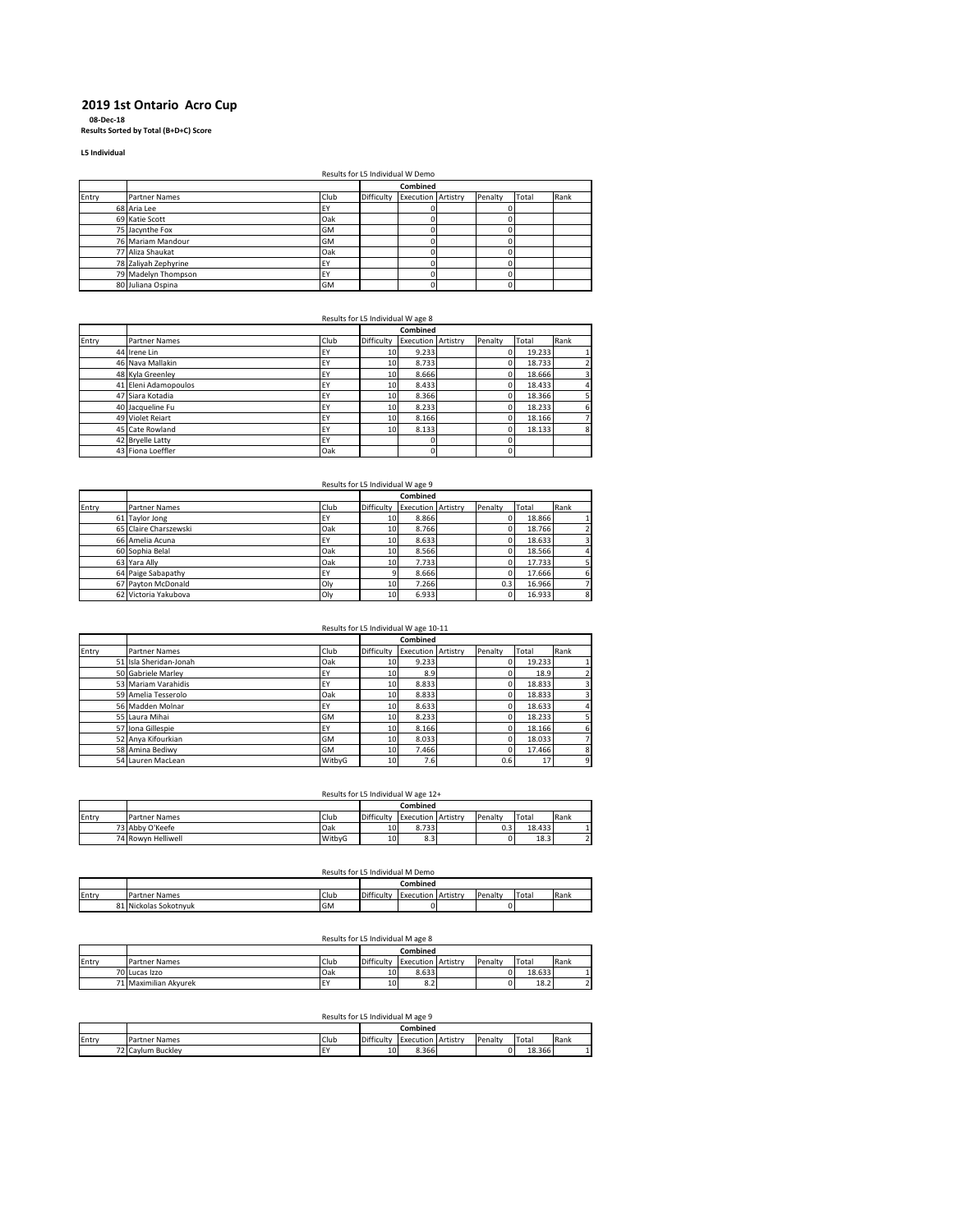# **2019 1st Ontario Acro Cup**

**08-Dec-18 Results Sorted by Total (B+D+C) Score**

**L5 Individual**

Results for L5 Individual W Demo

|       |                      |      |            | <b>NUSSIMES TOT LS INTERNATIONS DUNNER</b> |         |       |      |
|-------|----------------------|------|------------|--------------------------------------------|---------|-------|------|
|       |                      |      |            | Combined                                   |         |       |      |
| Entry | <b>Partner Names</b> | Club | Difficulty | <b>Execution Artistry</b>                  | Penalty | Total | Rank |
|       | 68 Aria Lee          | EY   |            |                                            |         |       |      |
|       | 69 Katie Scott       | Oak  |            |                                            |         |       |      |
|       | 75 Jacynthe Fox      | GM   |            |                                            |         |       |      |
|       | 76 Mariam Mandour    | GM   |            |                                            |         |       |      |
|       | 77 Aliza Shaukat     | Oak  |            |                                            |         |       |      |
|       | 78 Zaliyah Zephyrine | FY   |            |                                            |         |       |      |
|       | 79 Madelyn Thompson  | FY   |            |                                            |         |       |      |
|       | 80 Juliana Ospina    | GM   |            |                                            |         |       |      |

|       |                      |      | Results for L5 Individual W age 8 |                           |         |        |      |
|-------|----------------------|------|-----------------------------------|---------------------------|---------|--------|------|
|       |                      |      |                                   | Combined                  |         |        |      |
| Entry | <b>Partner Names</b> | Club | Difficulty                        | <b>Execution Artistry</b> | Penalty | Total  | Rank |
|       | 44 Irene Lin         | EY   | 10                                | 9.233                     |         | 19.233 |      |
|       | 46 Nava Mallakin     | EY   | 10 <sup>1</sup>                   | 8.733                     |         | 18.733 |      |
|       | 48 Kyla Greenley     | EY   | 10                                | 8.666                     |         | 18.666 | 3    |
|       | 41 Eleni Adamopoulos | EY   | 10                                | 8.433                     |         | 18.433 | 4    |
|       | 47 Siara Kotadia     | EY   | 10                                | 8.366                     |         | 18.366 |      |
|       | 40 Jacqueline Fu     | EY   | 10 <sup>1</sup>                   | 8.233                     |         | 18.233 | 6    |
|       | 49 Violet Reiart     | EY   | 10                                | 8.166                     |         | 18.166 |      |
|       | 45 Cate Rowland      | EY   | 10                                | 8.133                     |         | 18.133 | 8    |
|       | 42 Bryelle Latty     | EY   |                                   | o                         |         |        |      |
|       | 43 Fiona Loeffler    | Oak  |                                   | 0                         |         |        |      |

|       |                       |           | Results for L5 Individual W age 9 |                           |         |        |      |
|-------|-----------------------|-----------|-----------------------------------|---------------------------|---------|--------|------|
|       |                       |           |                                   | Combined                  |         |        |      |
| Entry | Partner Names         | Club      | Difficulty                        | <b>Execution Artistry</b> | Penalty | Total  | Rank |
|       | 61 Taylor Jong        | <b>EY</b> | 10                                | 8.866                     |         | 18.866 |      |
|       | 65 Claire Charszewski | Oak       | 10                                | 8.766                     |         | 18.766 |      |
|       | 66 Amelia Acuna       | <b>EY</b> | 10 <sup>1</sup>                   | 8.633                     |         | 18.633 | 3    |
|       | 60 Sophia Belal       | Oak       | 10 <sup>1</sup>                   | 8.566                     |         | 18.566 | 4    |
|       | 63 Yara Ally          | Oak       | 10                                | 7.733                     |         | 17.733 |      |
|       | 64 Paige Sabapathy    | EY        |                                   | 8.666                     |         | 17.666 | 6    |
|       | 67 Payton McDonald    | Oly       | 10 <sup>1</sup>                   | 7.266                     | 0.3     | 16.966 |      |
|       | 62 Victoria Yakubova  | Oly       | 10                                | 6.933                     |         | 16.933 | 8    |

| Results for L5 Individual W age 10-11 |  |
|---------------------------------------|--|
|---------------------------------------|--|

|       |                        |           |            | Combined                  |         |        |      |
|-------|------------------------|-----------|------------|---------------------------|---------|--------|------|
| Entry | <b>Partner Names</b>   | Club      | Difficulty | <b>Execution Artistry</b> | Penalty | Total  | Rank |
|       | 51 Isla Sheridan-Jonah | Oak       | 10         | 9.233                     |         | 19.233 |      |
|       | 50 Gabriele Marley     | EY        | 10         | 8.9                       |         | 18.9   |      |
|       | 53 Mariam Varahidis    | <b>EY</b> | 10         | 8.833                     |         | 18.833 |      |
|       | 59 Amelia Tesserolo    | Oak       | 10         | 8.833                     |         | 18.833 |      |
|       | 56 Madden Molnar       | EY        | 10         | 8.633                     |         | 18.633 | 4    |
|       | 55 Laura Mihai         | GM        | 10         | 8.233                     |         | 18.233 |      |
|       | 57 Iona Gillespie      | EY        | 10         | 8.166                     |         | 18.166 |      |
|       | 52 Anya Kifourkian     | GM        | 10         | 8.033                     |         | 18.033 |      |
|       | 58 Amina Bediwy        | GM        | 10         | 7.466                     |         | 17.466 | 8    |
|       | 54 Lauren MacLean      | WitbyG    | 10         | 7.6                       | 0.6     | 17     | 9    |

| 17 مەم W Is Individual W مەم |  |  |  |
|------------------------------|--|--|--|

|       |                      | Results for L5 Individual W age 12+ |            |                           |         |        |      |
|-------|----------------------|-------------------------------------|------------|---------------------------|---------|--------|------|
|       |                      |                                     |            | Combined                  |         |        |      |
| Entry | <b>Partner Names</b> | Club                                | Difficulty | <b>Execution Artistry</b> | Penalty | Total  | Rank |
|       | 73 Abby O'Keefe      | Oak                                 | 10         | 8.733                     |         | 18.433 |      |
|       | 74 Rowyn Helliwell   | WitbvG                              | 10         | 8.3                       |         | 18.3   |      |

|       | Results for L5 Individual M Demo |           |            |                           |  |         |       |      |  |  |
|-------|----------------------------------|-----------|------------|---------------------------|--|---------|-------|------|--|--|
|       |                                  |           |            | Combined                  |  |         |       |      |  |  |
| Entry | Partner Names                    | Club      | Difficulty | <b>Execution Artistry</b> |  | Penalty | Total | Rank |  |  |
|       | 81 Nickolas Sokotnvuk            | <b>GM</b> |            |                           |  |         |       |      |  |  |

#### Results for L5 Individual M age 8

|       |                       |      |            | Combined          |          |         |        |      |
|-------|-----------------------|------|------------|-------------------|----------|---------|--------|------|
| Entry | <b>Partner Names</b>  | Club | Difficulty | Execution         | Artistry | Penalty | Total  | Rank |
|       | 70 Lucas Izzo         | Oak  | 10         | 8.633             |          |         | 18.633 |      |
|       | 71 Maximilian Akvurek | EY   | 10         | <b>0 P</b><br>ŏ.Z |          |         | 18.2   |      |

### Results for L5 Individual M age 9

|       |                      |      |            | . .<br>Combined |          |         |                   |      |
|-------|----------------------|------|------------|-----------------|----------|---------|-------------------|------|
| Entry | <b>Partner Names</b> | Club | Difficulty | Execution       | Artistry | Penalty | Tota <sub>l</sub> | Rank |
|       | 72 Cavlum Buckley    | EY   | 10         | 8.366           |          |         | 18.366            |      |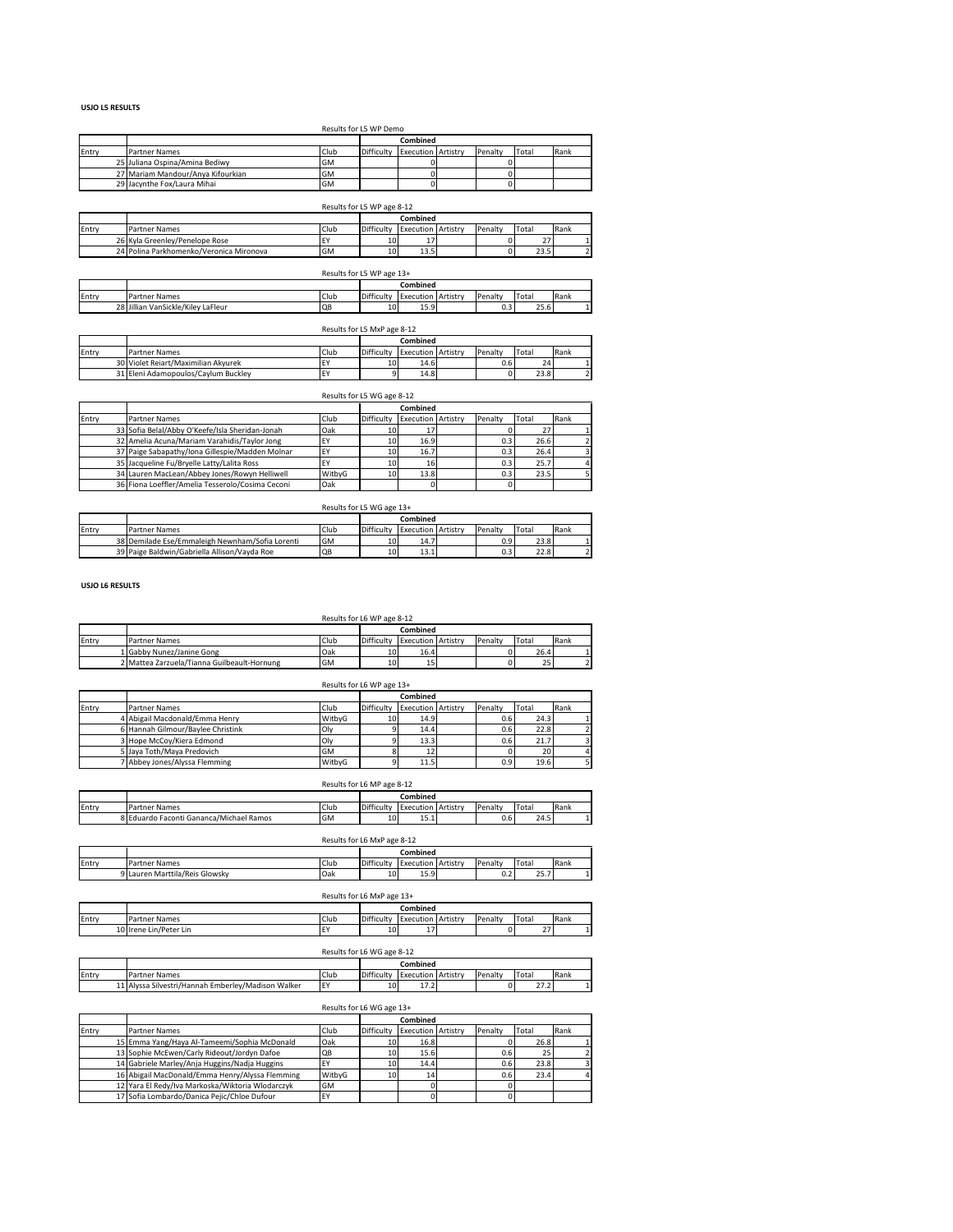#### **USJO L5 RESULTS**

|       | Results for L5 WP Demo            |           |            |                           |  |         |       |      |  |  |  |
|-------|-----------------------------------|-----------|------------|---------------------------|--|---------|-------|------|--|--|--|
|       |                                   |           |            | Combined                  |  |         |       |      |  |  |  |
| Entry | <b>Partner Names</b>              | Club      | Difficulty | <b>Execution Artistry</b> |  | Penalty | Total | Rank |  |  |  |
|       | 25 Juliana Ospina/Amina Bediwy    | <b>GM</b> |            |                           |  |         |       |      |  |  |  |
|       | 27 Mariam Mandour/Anya Kifourkian | <b>GM</b> |            |                           |  |         |       |      |  |  |  |
|       | 29 Jacynthe Fox/Laura Mihai       | <b>GM</b> |            |                           |  |         |       |      |  |  |  |

|       |                                         |           | Results for L5 WP age 8-12 |                           |         |       |      |
|-------|-----------------------------------------|-----------|----------------------------|---------------------------|---------|-------|------|
|       |                                         |           |                            | Combined                  |         |       |      |
| Entry | Partner Names                           | Club      | Difficulty                 | <b>Execution Artistry</b> | Penalty | Total | Rank |
|       | 26 Kyla Greenley/Penelope Rose          | <b>EY</b> | 10                         |                           |         | 27    |      |
|       | 24 Polina Parkhomenko/Veronica Mironova | GM        | 10                         | 13.5                      |         | 23.5  |      |
|       |                                         |           |                            |                           |         |       |      |

|       | Results for L5 WP age 13+          |           |            |                           |  |         |       |      |  |  |
|-------|------------------------------------|-----------|------------|---------------------------|--|---------|-------|------|--|--|
|       | Combined                           |           |            |                           |  |         |       |      |  |  |
| Entrv | Partner Names                      | Club      | Difficulty | <b>Execution Artistry</b> |  | Penalty | Total | Rank |  |  |
|       | 28 Jillian VanSickle/Kiley LaFleur | <b>QB</b> | 10         | 15.9                      |  | 0.3     | 25.6  |      |  |  |
|       |                                    |           |            |                           |  |         |       |      |  |  |

|       | Results for L5 MxP age 8-12         |      |            |                           |  |                  |       |      |  |  |  |  |
|-------|-------------------------------------|------|------------|---------------------------|--|------------------|-------|------|--|--|--|--|
|       |                                     |      |            | Combined                  |  |                  |       |      |  |  |  |  |
| Entry | Partner Names                       | Club | Difficulty | <b>Execution Artistry</b> |  | Penalty          | Total | Rank |  |  |  |  |
|       | 30 Violet Rejart/Maximilian Akvurek | EY   | 10         | 14.6                      |  | 0.6 <sub>1</sub> | 24    |      |  |  |  |  |
|       | 31 Eleni Adamopoulos/Cavlum Buckley | ΙEΥ  |            | 14.8                      |  |                  | 23.8  |      |  |  |  |  |

|       |                                                  |        | Results for L5 WG age 8-12 |                           |  |         |       |      |
|-------|--------------------------------------------------|--------|----------------------------|---------------------------|--|---------|-------|------|
|       |                                                  |        |                            | Combined                  |  |         |       |      |
| Entry | <b>Partner Names</b>                             | Club   | Difficulty                 | <b>Execution Artistry</b> |  | Penalty | Total | Rank |
|       | 33 Sofia Belal/Abby O'Keefe/Isla Sheridan-Jonah  | Oak    |                            |                           |  |         | 27    |      |
|       | 32 Amelia Acuna/Mariam Varahidis/Taylor Jong     | EY     | 10                         | 16.9                      |  | 0.3     | 26.6  |      |
|       | 37 Paige Sabapathy/Iona Gillespie/Madden Molnar  | EY     | 10                         | 16.7                      |  | 0.3     | 26.4  |      |
|       | 35 Jacqueline Fu/Bryelle Latty/Lalita Ross       | EY     | 10                         | 16                        |  | 0.3     | 25.7  |      |
|       | 34 Lauren MacLean/Abbey Jones/Rowyn Helliwell    | WitbyG | 10                         | 13.8                      |  | 0.3     | 23.5  |      |
|       | 36 Fiona Loeffler/Amelia Tesserolo/Cosima Ceconi | Oak    |                            |                           |  |         |       |      |

|       | Results for L5 WG age 13+                       |           |            |                           |  |         |       |      |  |  |  |
|-------|-------------------------------------------------|-----------|------------|---------------------------|--|---------|-------|------|--|--|--|
|       | Combined                                        |           |            |                           |  |         |       |      |  |  |  |
| Entry | <b>Partner Names</b>                            | Club      | Difficulty | <b>Execution Artistry</b> |  | Penalty | Total | Rank |  |  |  |
|       | 38 Demilade Ese/Emmaleigh Newnham/Sofia Lorenti | <b>GM</b> | 10         | 14.7                      |  | 0.9     | 23.8  |      |  |  |  |
|       | 39 Paige Baldwin/Gabriella Allison/Vavda Roe    | QB        | 10         | 13.1                      |  | 0.3     | 22.8  |      |  |  |  |

**USJO L6 RESULTS**

# Results for L6 WP age 8-12

|       |                                             |      |            | Combined                  |         |       |      |
|-------|---------------------------------------------|------|------------|---------------------------|---------|-------|------|
| Entry | <b>Partner Names</b>                        | Club | Difficulty | <b>Execution Artistry</b> | Penalty | Total | Rank |
|       | 1 Gabby Nunez/Janine Gong                   | Oak  | 10         | 16.4                      |         | 26.4  |      |
|       | 2 Mattea Zarzuela/Tianna Guilbeault-Hornung | GM   | 10         |                           |         | 25    |      |

|       |  | Results for L6 WP age 13+         |        |            |                           |  |         |       |      |  |  |  |
|-------|--|-----------------------------------|--------|------------|---------------------------|--|---------|-------|------|--|--|--|
|       |  |                                   |        |            | Combined                  |  |         |       |      |  |  |  |
| Entry |  | <b>Partner Names</b>              | Club   | Difficulty | <b>Execution Artistry</b> |  | Penalty | Total | Rank |  |  |  |
|       |  | 4 Abigail Macdonald/Emma Henry    | WitbvG | 10         | 14.9                      |  | 0.6     | 24.3  |      |  |  |  |
|       |  | 6 Hannah Gilmour/Baylee Christink | Oly    |            | 14.4                      |  | 0.6     | 22.8  |      |  |  |  |
|       |  | 3 Hope McCoy/Kiera Edmond         | Oly    |            | 13.3                      |  | 0.6     | 21.7  |      |  |  |  |
|       |  | 5 Jaya Toth/Maya Predovich        | GM     |            | 12                        |  |         | 20    |      |  |  |  |
|       |  | 7 Abbey Jones/Alyssa Flemming     | WitbvG |            | 11.5                      |  | 0.9     | 19.6  |      |  |  |  |

|       | Results for L6 MP age 8-12              |      |            |                           |  |         |       |      |  |  |
|-------|-----------------------------------------|------|------------|---------------------------|--|---------|-------|------|--|--|
|       |                                         |      | Combined   |                           |  |         |       |      |  |  |
| Entry | Partner Names                           | Club | Difficulty | <b>Execution Artistry</b> |  | Penalty | Total | Rank |  |  |
|       | 8 Eduardo Faconti Gananca/Michael Ramos | GM   | 10         | 15.1                      |  | 0.6     | 24.5  |      |  |  |
|       |                                         |      |            |                           |  |         |       |      |  |  |

|       | Results for L6 MxP age 8-12    |          |            |                           |  |         |             |      |  |  |
|-------|--------------------------------|----------|------------|---------------------------|--|---------|-------------|------|--|--|
|       |                                | Combined |            |                           |  |         |             |      |  |  |
| Entry | Partner Names                  | Club     | Difficulty | <b>Execution Artistry</b> |  | Penalty | Total       | Rank |  |  |
|       | 9 Lauren Marttila/Reis Glowsky | Oak      | 10         | 15.9                      |  | 0.2     | 257<br>23.7 |      |  |  |

|       | Results for L6 MxP age 13+ |      |            |                           |  |         |       |      |  |  |
|-------|----------------------------|------|------------|---------------------------|--|---------|-------|------|--|--|
|       |                            |      |            | Combined                  |  |         |       |      |  |  |
| Entry | Partner Names              | Club | Difficulty | <b>Execution Artistry</b> |  | Penalty | Total | Rank |  |  |
|       | 10 Irene Lin/Peter Lin     |      | 10         | ÷.                        |  |         | 27    |      |  |  |
|       |                            |      |            |                           |  |         |       |      |  |  |

|       | Results for L6 WG age 8-12                         |      |            |                           |  |         |             |      |  |  |
|-------|----------------------------------------------------|------|------------|---------------------------|--|---------|-------------|------|--|--|
|       |                                                    |      |            | Combined                  |  |         |             |      |  |  |
| Entry | <b>Partner Names</b>                               | Club | Difficulty | <b>Execution Artistry</b> |  | Penalty | Total       | Rank |  |  |
|       | 11 Alyssa Silvestri/Hannah Emberley/Madison Walker | EY   | 10         | $\overline{ }$<br>11.L    |  |         | 222<br>21.2 |      |  |  |

#### Results for L6 WG age 13+

|       |                                                  |        |            | Combined                  |         |       |      |
|-------|--------------------------------------------------|--------|------------|---------------------------|---------|-------|------|
| Entry | Partner Names                                    | Club   | Difficulty | <b>Execution Artistry</b> | Penalty | Total | Rank |
|       | 15 Emma Yang/Haya Al-Tameemi/Sophia McDonald     | Oak    | 10.        | 16.8                      |         | 26.8  |      |
|       | 13 Sophie McEwen/Carly Rideout/Jordyn Dafoe      | QB     | 10         | 15.6                      | 0.6     | 25    |      |
|       | 14 Gabriele Marley/Anja Huggins/Nadja Huggins    |        | 10         | 14.4                      | 0.6     | 23.8  |      |
|       | 16 Abigail MacDonald/Emma Henry/Alyssa Flemming  | WitbvG |            | 14                        | 0.6     | 23.4  |      |
|       | 12 Yara El Redy/Iva Markoska/Wiktoria Wlodarczyk | GM     |            |                           |         |       |      |
|       | 17 Sofia Lombardo/Danica Pejic/Chloe Dufour      | EY     |            |                           |         |       |      |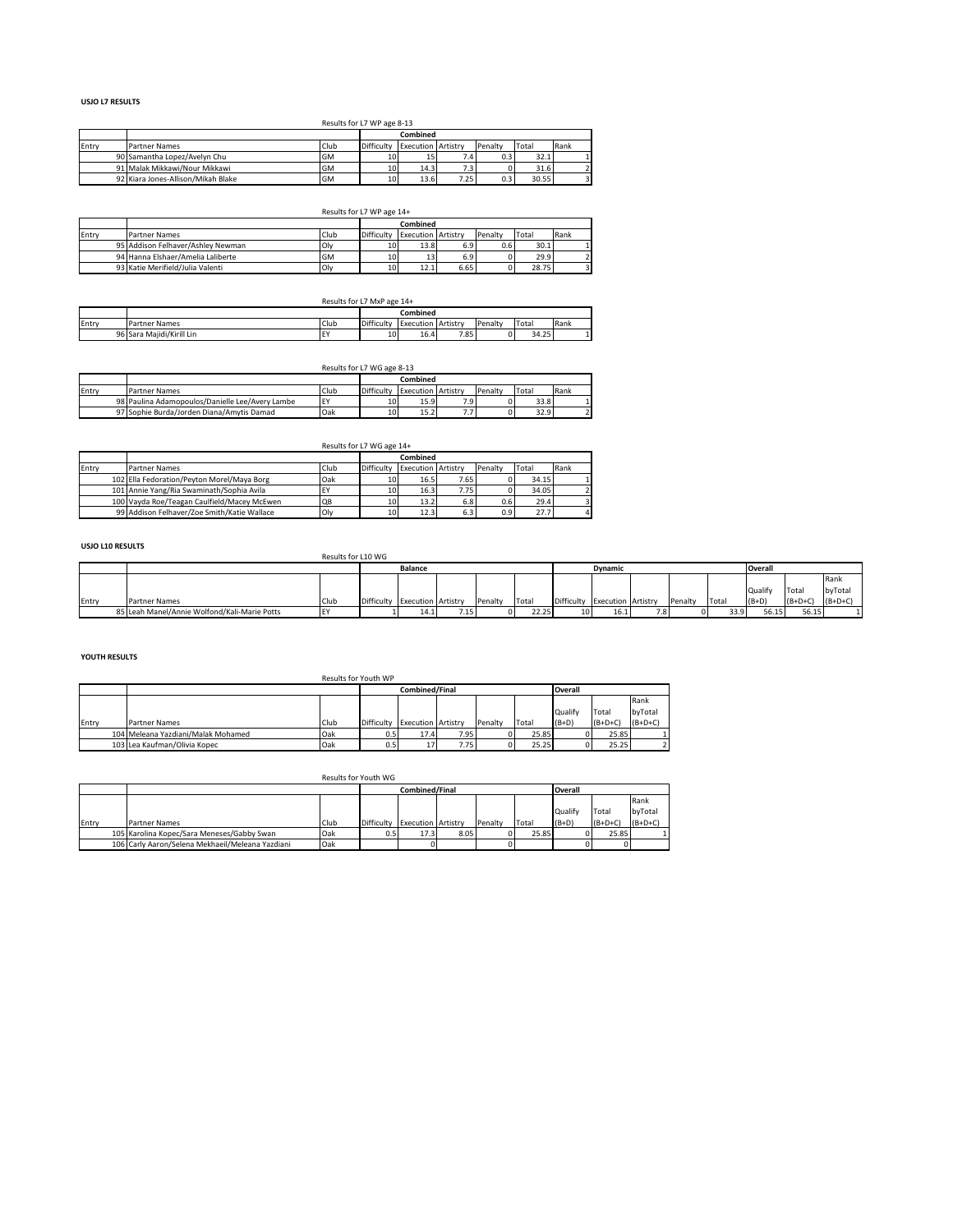### **USJO L7 RESULTS**

#### Results for L7 WP age 8-13

|       |                                    |           | Combined        |                           |      |         |       |      |
|-------|------------------------------------|-----------|-----------------|---------------------------|------|---------|-------|------|
| Entry | <b>Partner Names</b>               | Club      | Difficulty      | <b>Execution Artistry</b> |      | Penalty | Total | Rank |
|       | 90 Samantha Lopez/Avelyn Chu       | <b>GM</b> | 10              | 15                        | 7.41 | 0.3     | 32.1  |      |
|       | 91 Malak Mikkawi/Nour Mikkawi      | <b>GM</b> | 10 <sup>1</sup> | 14.3                      | د. ا |         | 31.6  |      |
|       | 92 Kiara Jones-Allison/Mikah Blake | <b>GM</b> | 10              | 13.6                      | 7.25 | 0.3     | 30.55 |      |

# Results for L7 WP age 14+ **Combined** Entry Partner Names Club Difficulty Execution Artistry Penalty Total Rank 95 Addison Felhaver/Ashley Newman Oly 10 13.8 6.9 0.6 30.1 1 94 Hanna Elshaer/Amelia Laliberte GM 10 13 6.9 0 29.9 2 93 Katie Merifield/Julia Valenti Oly 10 12.1 6.65 0 28.75 3

|       |                           | Results for L7 MxP age 14+ |            |                           |      |         |       |      |
|-------|---------------------------|----------------------------|------------|---------------------------|------|---------|-------|------|
|       |                           |                            |            | Combined                  |      |         |       |      |
| Entry | <b>Partner Names</b>      | Club                       | Difficulty | <b>Execution Artistry</b> |      | Penalty | Total | Rank |
|       | 96 Sara Maiidi/Kirill Lin | EY                         | 10         | 16.4                      | 7.85 |         | 34.25 |      |

|       |                                                 |            |            | Combined                  |                          |         |       |      |
|-------|-------------------------------------------------|------------|------------|---------------------------|--------------------------|---------|-------|------|
| Entry | Partner Names                                   | Club       | Difficulty | <b>Execution Artistry</b> |                          | Penalty | Total | Rank |
|       | 98 Paulina Adamopoulos/Danielle Lee/Avery Lambe | <b>IEY</b> | 10         | 15.9                      | 7.9                      |         | 33.8  |      |
|       | 97 Sophie Burda/Jorden Diana/Amytis Damad       | Oak        | 10         | 15.2                      | $\overline{\phantom{a}}$ |         | 32.9  |      |

|       |                                                    | Results for L7 WG age 14+ |                           |      |         |       |      |
|-------|----------------------------------------------------|---------------------------|---------------------------|------|---------|-------|------|
|       |                                                    |                           | Combined                  |      |         |       |      |
| Entry | Club<br><b>Partner Names</b>                       | Difficulty                | <b>Execution Artistry</b> |      | Penalty | Total | Rank |
|       | Oak<br>102 Ella Fedoration/Peyton Morel/Maya Borg  | 10                        | 16.5                      | 7.65 |         | 34.15 |      |
|       | 101 Annie Yang/Ria Swaminath/Sophia Avila<br>EY    | 10                        | 16.3                      | 7.75 |         | 34.05 |      |
|       | 100 Vayda Roe/Teagan Caulfield/Macey McEwen<br>QB  | 10                        | 13.2                      | 6.8  | 0.6     | 29.4  |      |
|       | 99 Addison Felhaver/Zoe Smith/Katie Wallace<br>Oly | 10                        | 12.3                      | 6.3  | 0.9     | 27.7  |      |

### **USJO L10 RESULTS**

|       |                                              | Results for L10 WG |                               |                 |         |       |                 |                               |     |         |       |                |           |           |
|-------|----------------------------------------------|--------------------|-------------------------------|-----------------|---------|-------|-----------------|-------------------------------|-----|---------|-------|----------------|-----------|-----------|
|       |                                              |                    | <b>Balance</b>                |                 |         |       |                 | <b>Dynamic</b>                |     |         |       | <b>Overall</b> |           |           |
|       |                                              |                    |                               |                 |         |       |                 |                               |     |         |       |                |           | Rank      |
|       |                                              |                    |                               |                 |         |       |                 |                               |     |         |       | Qualify        | Total     | byTotal   |
| Entry | <b>Partner Names</b>                         | Club               | Difficulty Execution Artistry |                 | Penalty | Total |                 | Difficulty Execution Artistry |     | Penalty | Total | $(B+D)$        | $(B+D+C)$ | $(B+D+C)$ |
|       | 85 Leah Manel/Annie Wolfond/Kali-Marie Potts |                    | 14.1                          | - - -<br>ر ۲۰۱۰ |         | 22.25 | 10 <sup>1</sup> | 16.1                          | 7.8 |         | 33.9  | 56.15          | 56.15     |           |

#### **YOUTH RESULTS**

|       |                                    | Results for Youth WP |            |                           |      |         |       |         |           |           |
|-------|------------------------------------|----------------------|------------|---------------------------|------|---------|-------|---------|-----------|-----------|
|       |                                    |                      |            | Combined/Final            |      |         |       | Overall |           |           |
|       |                                    |                      |            |                           |      |         |       |         |           | Rank      |
|       |                                    |                      |            |                           |      |         |       | Qualify | Total     | bvTotal   |
| Entry | <b>Partner Names</b>               | Club                 | Difficulty | <b>Execution Artistry</b> |      | Penalty | Total | $(B+D)$ | $(B+D+C)$ | $(B+D+C)$ |
|       | 104 Meleana Yazdiani/Malak Mohamed | Oak                  | 0.5        | 17.4                      | 7.95 |         | 25.85 |         | 25.85     |           |
|       | 103 Lea Kaufman/Olivia Kopec       | Oak                  | 0.5        | 17                        | 7.75 |         | 25.25 |         | 25.25     |           |

## Results for Youth WG

|       |                                                  |      |            | Combined/Final            |      |         |       | Overall |           |           |
|-------|--------------------------------------------------|------|------------|---------------------------|------|---------|-------|---------|-----------|-----------|
|       |                                                  |      |            |                           |      |         |       |         |           | Rank      |
|       |                                                  |      |            |                           |      |         |       | Qualify | Total     | byTotal   |
| Entry | Partner Names                                    | Club | Difficulty | <b>Execution Artistry</b> |      | Penalty | Total | $(B+D)$ | $(B+D+C)$ | $(B+D+C)$ |
|       | 105 Karolina Kopec/Sara Meneses/Gabby Swan       | Oak  | 0.5        | 17.3                      | 8.05 |         | 25.85 |         | 25.85     |           |
|       | 106 Carly Aaron/Selena Mekhaeil/Meleana Yazdiani | Oak  |            |                           |      |         |       |         |           |           |